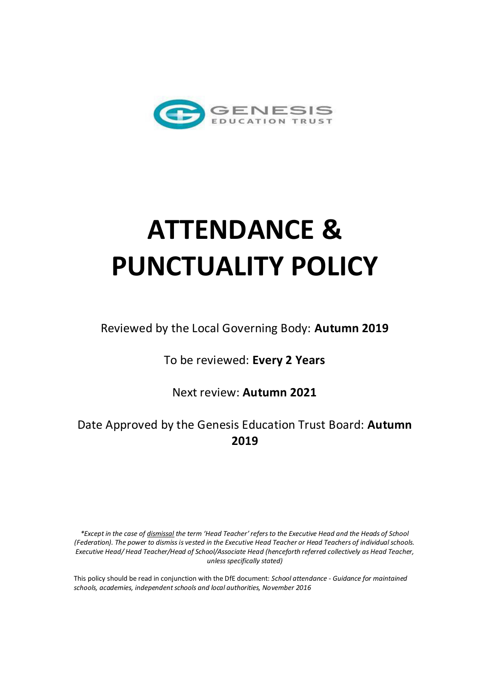

# **ATTENDANCE & PUNCTUALITY POLICY**

Reviewed by the Local Governing Body: **Autumn 2019** 

To be reviewed: **Every 2 Years** 

Next review: **Autumn 2021**

Date Approved by the Genesis Education Trust Board: **Autumn 2019**

*\*Except in the case of dismissal the term 'Head Teacher' refers to the Executive Head and the Heads of School (Federation). The power to dismiss is vested in the Executive Head Teacher or Head Teachers of individual schools. Executive Head/ Head Teacher/Head of School/Associate Head (henceforth referred collectively as Head Teacher, unless specifically stated)* 

This policy should be read in conjunction with the DfE document: *School attendance - Guidance for maintained schools, academies, independent schools and local authorities, November 2016*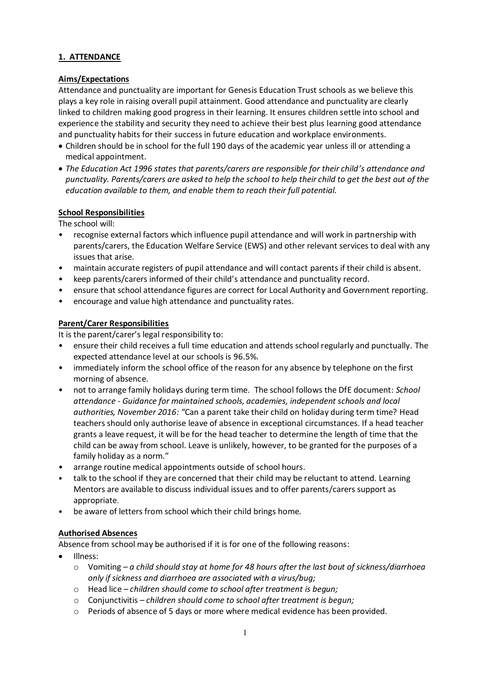## **1. ATTENDANCE**

#### **Aims/Expectations**

Attendance and punctuality are important for Genesis Education Trust schools as we believe this plays a key role in raising overall pupil attainment. Good attendance and punctuality are clearly linked to children making good progress in their learning. It ensures children settle into school and experience the stability and security they need to achieve their best plus learning good attendance and punctuality habits for their success in future education and workplace environments.

- Children should be in school for the full 190 days of the academic year unless ill or attending a medical appointment.
- *The Education Act 1996 states that parents/carers are responsible for their child's attendance and punctuality. Parents/carers are asked to help the school to help their child to get the best out of the education available to them, and enable them to reach their full potential.*

# **School Responsibilities**

The school will:

- recognise external factors which influence pupil attendance and will work in partnership with parents/carers, the Education Welfare Service (EWS) and other relevant services to deal with any issues that arise.
- maintain accurate registers of pupil attendance and will contact parents if their child is absent.
- keep parents/carers informed of their child's attendance and punctuality record.
- ensure that school attendance figures are correct for Local Authority and Government reporting.
- encourage and value high attendance and punctuality rates.

## **Parent/Carer Responsibilities**

It is the parent/carer's legal responsibility to:

- ensure their child receives a full time education and attends school regularly and punctually. The expected attendance level at our schools is 96.5%.
- immediately inform the school office of the reason for any absence by telephone on the first morning of absence.
- not to arrange family holidays during term time. The school follows the DfE document: *School attendance - Guidance for maintained schools, academies, independent schools and local authorities, November 2016: "*Can a parent take their child on holiday during term time? Head teachers should only authorise leave of absence in exceptional circumstances. If a head teacher grants a leave request, it will be for the head teacher to determine the length of time that the child can be away from school. Leave is unlikely, however, to be granted for the purposes of a family holiday as a norm."
- arrange routine medical appointments outside of school hours.
- talk to the school if they are concerned that their child may be reluctant to attend. Learning Mentors are available to discuss individual issues and to offer parents/carers support as appropriate.
- be aware of letters from school which their child brings home.

# **Authorised Absences**

Absence from school may be authorised if it is for one of the following reasons:

- Illness:
	- o Vomiting *a child should stay at home for 48 hours after the last bout of sickness/diarrhoea only if sickness and diarrhoea are associated with a virus/bug;*
	- o Head lice *– children should come to school after treatment is begun;*
	- o Conjunctivitis *– children should come to school after treatment is begun;*
	- o Periods of absence of 5 days or more where medical evidence has been provided.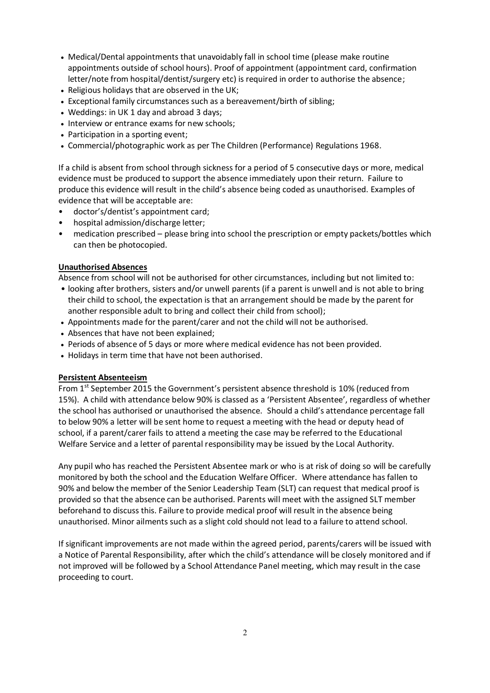- Medical/Dental appointments that unavoidably fall in school time (please make routine appointments outside of school hours). Proof of appointment (appointment card, confirmation letter/note from hospital/dentist/surgery etc) is required in order to authorise the absence;
- Religious holidays that are observed in the UK;
- Exceptional family circumstances such as a bereavement/birth of sibling;
- Weddings: in UK 1 day and abroad 3 days;
- Interview or entrance exams for new schools;
- Participation in a sporting event;
- Commercial/photographic work as per The Children (Performance) Regulations 1968.

If a child is absent from school through sickness for a period of 5 consecutive days or more, medical evidence must be produced to support the absence immediately upon their return. Failure to produce this evidence will result in the child's absence being coded as unauthorised. Examples of evidence that will be acceptable are:

- doctor's/dentist's appointment card;
- hospital admission/discharge letter;
- medication prescribed please bring into school the prescription or empty packets/bottles which can then be photocopied.

#### **Unauthorised Absences**

Absence from school will not be authorised for other circumstances, including but not limited to:

- looking after brothers, sisters and/or unwell parents (if a parent is unwell and is not able to bring their child to school, the expectation is that an arrangement should be made by the parent for another responsible adult to bring and collect their child from school);
- Appointments made for the parent/carer and not the child will not be authorised.
- Absences that have not been explained;
- Periods of absence of 5 days or more where medical evidence has not been provided.
- Holidays in term time that have not been authorised.

#### **Persistent Absenteeism**

From 1<sup>st</sup> September 2015 the Government's persistent absence threshold is 10% (reduced from 15%). A child with attendance below 90% is classed as a 'Persistent Absentee', regardless of whether the school has authorised or unauthorised the absence. Should a child's attendance percentage fall to below 90% a letter will be sent home to request a meeting with the head or deputy head of school, if a parent/carer fails to attend a meeting the case may be referred to the Educational Welfare Service and a letter of parental responsibility may be issued by the Local Authority.

Any pupil who has reached the Persistent Absentee mark or who is at risk of doing so will be carefully monitored by both the school and the Education Welfare Officer. Where attendance has fallen to 90% and below the member of the Senior Leadership Team (SLT) can request that medical proof is provided so that the absence can be authorised. Parents will meet with the assigned SLT member beforehand to discuss this. Failure to provide medical proof will result in the absence being unauthorised. Minor ailments such as a slight cold should not lead to a failure to attend school.

If significant improvements are not made within the agreed period, parents/carers will be issued with a Notice of Parental Responsibility, after which the child's attendance will be closely monitored and if not improved will be followed by a School Attendance Panel meeting, which may result in the case proceeding to court.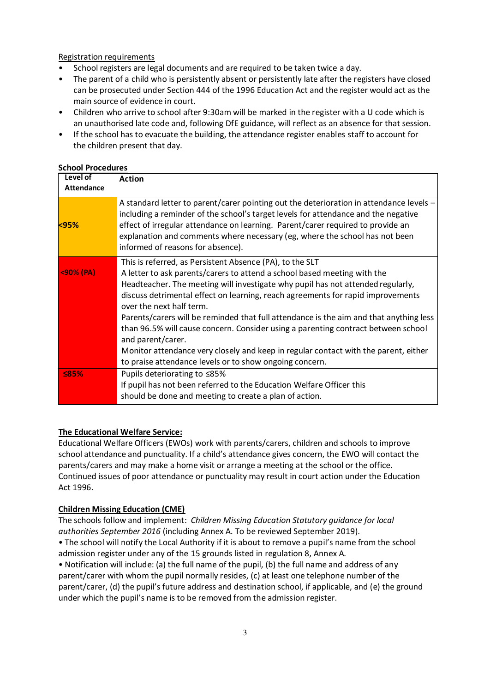Registration requirements

- School registers are legal documents and are required to be taken twice a day.
- The parent of a child who is persistently absent or persistently late after the registers have closed can be prosecuted under Section 444 of the 1996 Education Act and the register would act as the main source of evidence in court.
- Children who arrive to school after 9:30am will be marked in the register with a U code which is an unauthorised late code and, following DfE guidance, will reflect as an absence for that session.
- If the school has to evacuate the building, the attendance register enables staff to account for the children present that day.

#### **School Procedures**

| Level of<br><b>Attendance</b> | <b>Action</b>                                                                                                                                                                                                                                                                                                                                                                                                                                                                                                                                                                                                                                                                                |
|-------------------------------|----------------------------------------------------------------------------------------------------------------------------------------------------------------------------------------------------------------------------------------------------------------------------------------------------------------------------------------------------------------------------------------------------------------------------------------------------------------------------------------------------------------------------------------------------------------------------------------------------------------------------------------------------------------------------------------------|
| <95%                          | A standard letter to parent/carer pointing out the deterioration in attendance levels -<br>including a reminder of the school's target levels for attendance and the negative<br>effect of irregular attendance on learning. Parent/carer required to provide an<br>explanation and comments where necessary (eg, where the school has not been<br>informed of reasons for absence).                                                                                                                                                                                                                                                                                                         |
| $<$ 90% (PA)                  | This is referred, as Persistent Absence (PA), to the SLT<br>A letter to ask parents/carers to attend a school based meeting with the<br>Headteacher. The meeting will investigate why pupil has not attended regularly,<br>discuss detrimental effect on learning, reach agreements for rapid improvements<br>over the next half term.<br>Parents/carers will be reminded that full attendance is the aim and that anything less<br>than 96.5% will cause concern. Consider using a parenting contract between school<br>and parent/carer.<br>Monitor attendance very closely and keep in regular contact with the parent, either<br>to praise attendance levels or to show ongoing concern. |
| <b>S85%</b>                   | Pupils deteriorating to ≤85%<br>If pupil has not been referred to the Education Welfare Officer this<br>should be done and meeting to create a plan of action.                                                                                                                                                                                                                                                                                                                                                                                                                                                                                                                               |

#### **The Educational Welfare Service:**

Educational Welfare Officers (EWOs) work with parents/carers, children and schools to improve school attendance and punctuality. If a child's attendance gives concern, the EWO will contact the parents/carers and may make a home visit or arrange a meeting at the school or the office. Continued issues of poor attendance or punctuality may result in court action under the Education Act 1996.

#### **Children Missing Education (CME)**

The schools follow and implement: *Children Missing Education Statutory guidance for local authorities September 2016* (including Annex A. To be reviewed September 2019).

• The school will notify the Local Authority if it is about to remove a pupil's name from the school admission register under any of the 15 grounds listed in regulation 8, Annex A*.*

• Notification will include: (a) the full name of the pupil, (b) the full name and address of any parent/carer with whom the pupil normally resides, (c) at least one telephone number of the parent/carer, (d) the pupil's future address and destination school, if applicable, and (e) the ground under which the pupil's name is to be removed from the admission register.